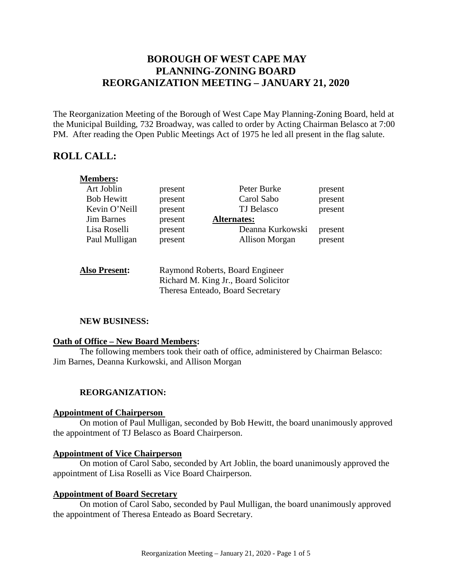# **BOROUGH OF WEST CAPE MAY PLANNING-ZONING BOARD REORGANIZATION MEETING – JANUARY 21, 2020**

The Reorganization Meeting of the Borough of West Cape May Planning-Zoning Board, held at the Municipal Building, 732 Broadway, was called to order by Acting Chairman Belasco at 7:00 PM. After reading the Open Public Meetings Act of 1975 he led all present in the flag salute.

# **ROLL CALL:**

| <b>Members:</b>                  |                                      |                    |         |
|----------------------------------|--------------------------------------|--------------------|---------|
| Art Joblin                       | present                              | Peter Burke        | present |
| <b>Bob Hewitt</b>                | present                              | Carol Sabo         | present |
| Kevin O'Neill                    | present                              | TJ Belasco         | present |
| <b>Jim Barnes</b>                | present                              | <b>Alternates:</b> |         |
| Lisa Roselli                     | present                              | Deanna Kurkowski   | present |
| Paul Mulligan                    | present                              | Allison Morgan     | present |
| <b>Also Present:</b>             | Raymond Roberts, Board Engineer      |                    |         |
|                                  | Richard M. King Jr., Board Solicitor |                    |         |
| Theresa Enteado, Board Secretary |                                      |                    |         |

## **NEW BUSINESS:**

## **Oath of Office – New Board Members:**

The following members took their oath of office, administered by Chairman Belasco: Jim Barnes, Deanna Kurkowski, and Allison Morgan

## **REORGANIZATION:**

#### **Appointment of Chairperson**

On motion of Paul Mulligan, seconded by Bob Hewitt, the board unanimously approved the appointment of TJ Belasco as Board Chairperson.

#### **Appointment of Vice Chairperson**

On motion of Carol Sabo, seconded by Art Joblin, the board unanimously approved the appointment of Lisa Roselli as Vice Board Chairperson.

## **Appointment of Board Secretary**

On motion of Carol Sabo, seconded by Paul Mulligan, the board unanimously approved the appointment of Theresa Enteado as Board Secretary.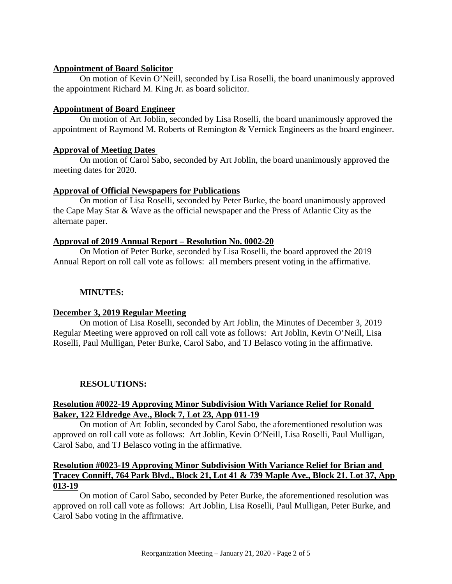## **Appointment of Board Solicitor**

On motion of Kevin O'Neill, seconded by Lisa Roselli, the board unanimously approved the appointment Richard M. King Jr. as board solicitor.

# **Appointment of Board Engineer**

On motion of Art Joblin, seconded by Lisa Roselli, the board unanimously approved the appointment of Raymond M. Roberts of Remington & Vernick Engineers as the board engineer.

# **Approval of Meeting Dates**

On motion of Carol Sabo, seconded by Art Joblin, the board unanimously approved the meeting dates for 2020.

# **Approval of Official Newspapers for Publications**

On motion of Lisa Roselli, seconded by Peter Burke, the board unanimously approved the Cape May Star & Wave as the official newspaper and the Press of Atlantic City as the alternate paper.

## **Approval of 2019 Annual Report – Resolution No. 0002-20**

On Motion of Peter Burke, seconded by Lisa Roselli, the board approved the 2019 Annual Report on roll call vote as follows: all members present voting in the affirmative.

# **MINUTES:**

## **December 3, 2019 Regular Meeting**

On motion of Lisa Roselli, seconded by Art Joblin, the Minutes of December 3, 2019 Regular Meeting were approved on roll call vote as follows: Art Joblin, Kevin O'Neill, Lisa Roselli, Paul Mulligan, Peter Burke, Carol Sabo, and TJ Belasco voting in the affirmative.

## **RESOLUTIONS:**

# **Resolution #0022-19 Approving Minor Subdivision With Variance Relief for Ronald Baker, 122 Eldredge Ave., Block 7, Lot 23, App 011-19**

On motion of Art Joblin, seconded by Carol Sabo, the aforementioned resolution was approved on roll call vote as follows: Art Joblin, Kevin O'Neill, Lisa Roselli, Paul Mulligan, Carol Sabo, and TJ Belasco voting in the affirmative.

# **Resolution #0023-19 Approving Minor Subdivision With Variance Relief for Brian and Tracey Conniff, 764 Park Blvd., Block 21, Lot 41 & 739 Maple Ave., Block 21. Lot 37, App 013-19**

On motion of Carol Sabo, seconded by Peter Burke, the aforementioned resolution was approved on roll call vote as follows: Art Joblin, Lisa Roselli, Paul Mulligan, Peter Burke, and Carol Sabo voting in the affirmative.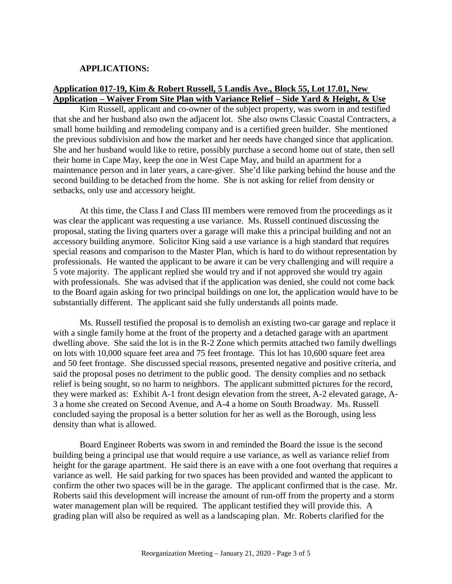#### **APPLICATIONS:**

# **Application 017-19, Kim & Robert Russell, 5 Landis Ave., Block 55, Lot 17.01, New Application – Waiver From Site Plan with Variance Relief – Side Yard & Height, & Use**

Kim Russell, applicant and co-owner of the subject property, was sworn in and testified that she and her husband also own the adjacent lot. She also owns Classic Coastal Contracters, a small home building and remodeling company and is a certified green builder. She mentioned the previous subdivision and how the market and her needs have changed since that application. She and her husband would like to retire, possibly purchase a second home out of state, then sell their home in Cape May, keep the one in West Cape May, and build an apartment for a maintenance person and in later years, a care-giver. She'd like parking behind the house and the second building to be detached from the home. She is not asking for relief from density or setbacks, only use and accessory height.

At this time, the Class I and Class III members were removed from the proceedings as it was clear the applicant was requesting a use variance. Ms. Russell continued discussing the proposal, stating the living quarters over a garage will make this a principal building and not an accessory building anymore. Solicitor King said a use variance is a high standard that requires special reasons and comparison to the Master Plan, which is hard to do without representation by professionals. He wanted the applicant to be aware it can be very challenging and will require a 5 vote majority. The applicant replied she would try and if not approved she would try again with professionals. She was advised that if the application was denied, she could not come back to the Board again asking for two principal buildings on one lot, the application would have to be substantially different. The applicant said she fully understands all points made.

Ms. Russell testified the proposal is to demolish an existing two-car garage and replace it with a single family home at the front of the property and a detached garage with an apartment dwelling above. She said the lot is in the R-2 Zone which permits attached two family dwellings on lots with 10,000 square feet area and 75 feet frontage. This lot has 10,600 square feet area and 50 feet frontage. She discussed special reasons, presented negative and positive criteria, and said the proposal poses no detriment to the public good. The density complies and no setback relief is being sought, so no harm to neighbors. The applicant submitted pictures for the record, they were marked as: Exhibit A-1 front design elevation from the street, A-2 elevated garage, A-3 a home she created on Second Avenue, and A-4 a home on South Broadway. Ms. Russell concluded saying the proposal is a better solution for her as well as the Borough, using less density than what is allowed.

Board Engineer Roberts was sworn in and reminded the Board the issue is the second building being a principal use that would require a use variance, as well as variance relief from height for the garage apartment. He said there is an eave with a one foot overhang that requires a variance as well. He said parking for two spaces has been provided and wanted the applicant to confirm the other two spaces will be in the garage. The applicant confirmed that is the case. Mr. Roberts said this development will increase the amount of run-off from the property and a storm water management plan will be required. The applicant testified they will provide this. A grading plan will also be required as well as a landscaping plan. Mr. Roberts clarified for the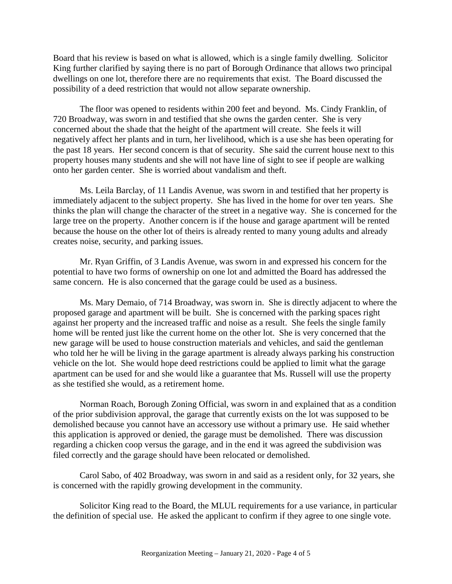Board that his review is based on what is allowed, which is a single family dwelling. Solicitor King further clarified by saying there is no part of Borough Ordinance that allows two principal dwellings on one lot, therefore there are no requirements that exist. The Board discussed the possibility of a deed restriction that would not allow separate ownership.

The floor was opened to residents within 200 feet and beyond. Ms. Cindy Franklin, of 720 Broadway, was sworn in and testified that she owns the garden center. She is very concerned about the shade that the height of the apartment will create. She feels it will negatively affect her plants and in turn, her livelihood, which is a use she has been operating for the past 18 years. Her second concern is that of security. She said the current house next to this property houses many students and she will not have line of sight to see if people are walking onto her garden center. She is worried about vandalism and theft.

Ms. Leila Barclay, of 11 Landis Avenue, was sworn in and testified that her property is immediately adjacent to the subject property. She has lived in the home for over ten years. She thinks the plan will change the character of the street in a negative way. She is concerned for the large tree on the property. Another concern is if the house and garage apartment will be rented because the house on the other lot of theirs is already rented to many young adults and already creates noise, security, and parking issues.

Mr. Ryan Griffin, of 3 Landis Avenue, was sworn in and expressed his concern for the potential to have two forms of ownership on one lot and admitted the Board has addressed the same concern. He is also concerned that the garage could be used as a business.

Ms. Mary Demaio, of 714 Broadway, was sworn in. She is directly adjacent to where the proposed garage and apartment will be built. She is concerned with the parking spaces right against her property and the increased traffic and noise as a result. She feels the single family home will be rented just like the current home on the other lot. She is very concerned that the new garage will be used to house construction materials and vehicles, and said the gentleman who told her he will be living in the garage apartment is already always parking his construction vehicle on the lot. She would hope deed restrictions could be applied to limit what the garage apartment can be used for and she would like a guarantee that Ms. Russell will use the property as she testified she would, as a retirement home.

Norman Roach, Borough Zoning Official, was sworn in and explained that as a condition of the prior subdivision approval, the garage that currently exists on the lot was supposed to be demolished because you cannot have an accessory use without a primary use. He said whether this application is approved or denied, the garage must be demolished. There was discussion regarding a chicken coop versus the garage, and in the end it was agreed the subdivision was filed correctly and the garage should have been relocated or demolished.

Carol Sabo, of 402 Broadway, was sworn in and said as a resident only, for 32 years, she is concerned with the rapidly growing development in the community.

Solicitor King read to the Board, the MLUL requirements for a use variance, in particular the definition of special use. He asked the applicant to confirm if they agree to one single vote.